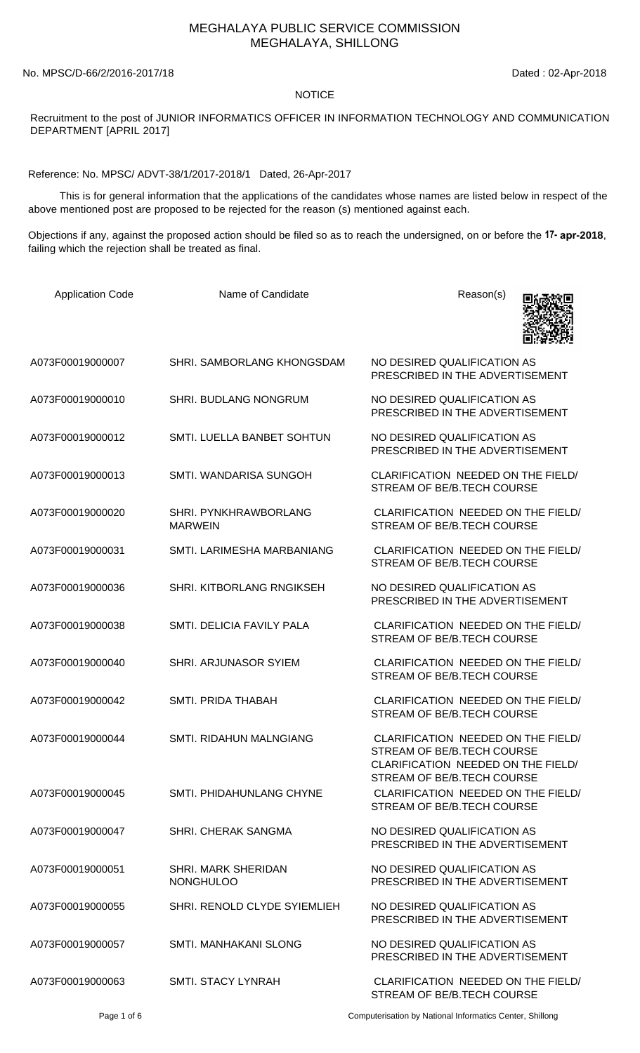## MEGHALAYA PUBLIC SERVICE COMMISSION MEGHALAYA, SHILLONG

No. MPSC/D-66/2/2016-2017/18 Dated : 02-Apr-2018

## **NOTICE**

Recruitment to the post of JUNIOR INFORMATICS OFFICER IN INFORMATION TECHNOLOGY AND COMMUNICATION DEPARTMENT [APRIL 2017]

Reference: No. MPSC/ ADVT-38/1/2017-2018/1 Dated, 26-Apr-2017

 This is for general information that the applications of the candidates whose names are listed below in respect of the above mentioned post are proposed to be rejected for the reason (s) mentioned against each.

Objections if any, against the proposed action should be filed so as to reach the undersigned, on or before the **17- apr-2018**, failing which the rejection shall be treated as final.

| <b>Application Code</b> | Name of Candidate                              | Reason(s)                                                                                                                            |
|-------------------------|------------------------------------------------|--------------------------------------------------------------------------------------------------------------------------------------|
| A073F00019000007        | SHRI. SAMBORLANG KHONGSDAM                     | NO DESIRED QUALIFICATION AS<br>PRESCRIBED IN THE ADVERTISEMENT                                                                       |
| A073F00019000010        | <b>SHRI. BUDLANG NONGRUM</b>                   | NO DESIRED QUALIFICATION AS<br>PRESCRIBED IN THE ADVERTISEMENT                                                                       |
| A073F00019000012        | SMTI. LUELLA BANBET SOHTUN                     | NO DESIRED QUALIFICATION AS<br>PRESCRIBED IN THE ADVERTISEMENT                                                                       |
| A073F00019000013        | SMTI. WANDARISA SUNGOH                         | CLARIFICATION NEEDED ON THE FIELD/<br>STREAM OF BE/B.TECH COURSE                                                                     |
| A073F00019000020        | SHRI. PYNKHRAWBORLANG<br><b>MARWEIN</b>        | CLARIFICATION NEEDED ON THE FIELD/<br>STREAM OF BE/B.TECH COURSE                                                                     |
| A073F00019000031        | SMTI. LARIMESHA MARBANIANG                     | CLARIFICATION NEEDED ON THE FIELD/<br>STREAM OF BE/B.TECH COURSE                                                                     |
| A073F00019000036        | SHRI. KITBORLANG RNGIKSEH                      | NO DESIRED QUALIFICATION AS<br>PRESCRIBED IN THE ADVERTISEMENT                                                                       |
| A073F00019000038        | SMTI. DELICIA FAVILY PALA                      | CLARIFICATION NEEDED ON THE FIELD/<br>STREAM OF BE/B.TECH COURSE                                                                     |
| A073F00019000040        | SHRI. ARJUNASOR SYIEM                          | CLARIFICATION NEEDED ON THE FIELD/<br>STREAM OF BE/B.TECH COURSE                                                                     |
| A073F00019000042        | <b>SMTI. PRIDA THABAH</b>                      | CLARIFICATION NEEDED ON THE FIELD/<br>STREAM OF BE/B.TECH COURSE                                                                     |
| A073F00019000044        | <b>SMTI. RIDAHUN MALNGIANG</b>                 | CLARIFICATION NEEDED ON THE FIELD/<br>STREAM OF BE/B.TECH COURSE<br>CLARIFICATION NEEDED ON THE FIELD/<br>STREAM OF BE/B.TECH COURSE |
| A073F00019000045        | SMTI. PHIDAHUNLANG CHYNE                       | CLARIFICATION NEEDED ON THE FIELD/<br>STREAM OF BE/B.TECH COURSE                                                                     |
| A073F00019000047        | SHRI. CHERAK SANGMA                            | NO DESIRED QUALIFICATION AS<br>PRESCRIBED IN THE ADVERTISEMENT                                                                       |
| A073F00019000051        | <b>SHRI. MARK SHERIDAN</b><br><b>NONGHULOO</b> | NO DESIRED QUALIFICATION AS<br>PRESCRIBED IN THE ADVERTISEMENT                                                                       |
| A073F00019000055        | SHRI. RENOLD CLYDE SYIEMLIEH                   | NO DESIRED QUALIFICATION AS<br>PRESCRIBED IN THE ADVERTISEMENT                                                                       |
| A073F00019000057        | SMTI. MANHAKANI SLONG                          | NO DESIRED QUALIFICATION AS<br>PRESCRIBED IN THE ADVERTISEMENT                                                                       |
| A073F00019000063        | <b>SMTI. STACY LYNRAH</b>                      | CLARIFICATION NEEDED ON THE FIELD/<br>STREAM OF BE/B.TECH COURSE                                                                     |

Page 1 of 6 Computerisation by National Informatics Center, Shillong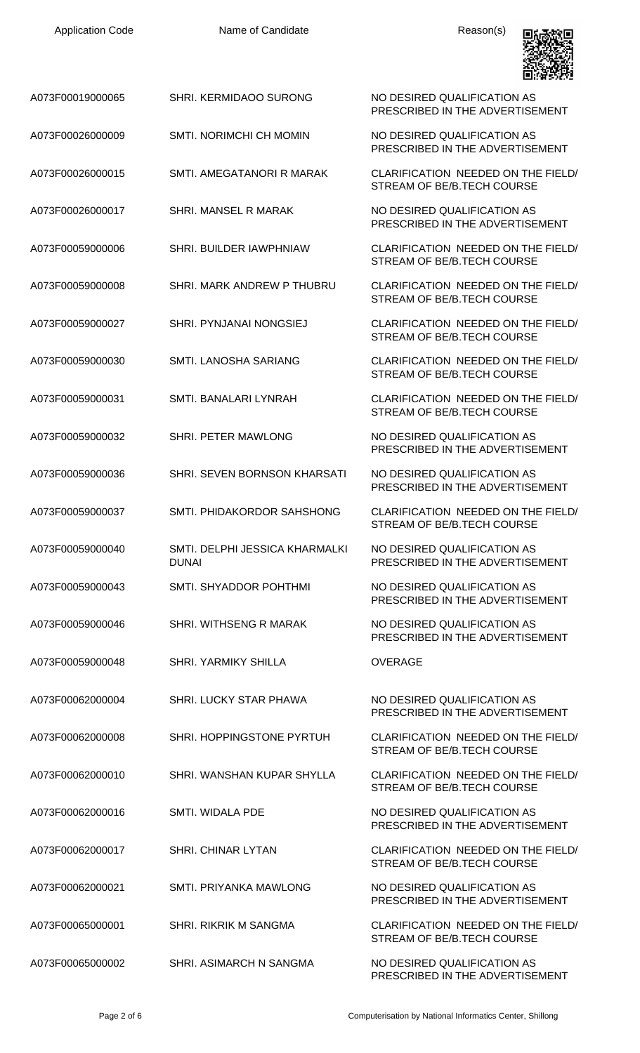| A073F00019000065 | SHRI. KERMIDAOO SURONG                         | NO DESIRED QUALIFICATION AS<br>PRESCRIBED IN THE ADVERTISEMENT   |
|------------------|------------------------------------------------|------------------------------------------------------------------|
| A073F00026000009 | SMTI. NORIMCHI CH MOMIN                        | NO DESIRED QUALIFICATION AS<br>PRESCRIBED IN THE ADVERTISEMENT   |
| A073F00026000015 | SMTI. AMEGATANORI R MARAK                      | CLARIFICATION NEEDED ON THE FIELD/<br>STREAM OF BE/B.TECH COURSE |
| A073F00026000017 | SHRI. MANSEL R MARAK                           | NO DESIRED QUALIFICATION AS<br>PRESCRIBED IN THE ADVERTISEMENT   |
| A073F00059000006 | SHRI. BUILDER IAWPHNIAW                        | CLARIFICATION NEEDED ON THE FIELD/<br>STREAM OF BE/B.TECH COURSE |
| A073F00059000008 | SHRI. MARK ANDREW P THUBRU                     | CLARIFICATION NEEDED ON THE FIELD/<br>STREAM OF BE/B.TECH COURSE |
| A073F00059000027 | SHRI. PYNJANAI NONGSIEJ                        | CLARIFICATION NEEDED ON THE FIELD/<br>STREAM OF BE/B.TECH COURSE |
| A073F00059000030 | SMTI. LANOSHA SARIANG                          | CLARIFICATION NEEDED ON THE FIELD/<br>STREAM OF BE/B.TECH COURSE |
| A073F00059000031 | SMTI. BANALARI LYNRAH                          | CLARIFICATION NEEDED ON THE FIELD/<br>STREAM OF BE/B.TECH COURSE |
| A073F00059000032 | SHRI. PETER MAWLONG                            | NO DESIRED QUALIFICATION AS<br>PRESCRIBED IN THE ADVERTISEMENT   |
| A073F00059000036 | SHRI. SEVEN BORNSON KHARSATI                   | NO DESIRED QUALIFICATION AS<br>PRESCRIBED IN THE ADVERTISEMENT   |
| A073F00059000037 | SMTI. PHIDAKORDOR SAHSHONG                     | CLARIFICATION NEEDED ON THE FIELD/<br>STREAM OF BE/B.TECH COURSE |
| A073F00059000040 | SMTI. DELPHI JESSICA KHARMALKI<br><b>DUNAI</b> | NO DESIRED QUALIFICATION AS<br>PRESCRIBED IN THE ADVERTISEMENT   |
| A073F00059000043 | SMTI, SHYADDOR POHTHMI                         | NO DESIRED QUALIFICATION AS<br>PRESCRIBED IN THE ADVERTISEMENT   |
| A073F00059000046 | SHRI. WITHSENG R MARAK                         | NO DESIRED QUALIFICATION AS<br>PRESCRIBED IN THE ADVERTISEMENT   |
| A073F00059000048 | SHRI. YARMIKY SHILLA                           | <b>OVERAGE</b>                                                   |
| A073F00062000004 | SHRI. LUCKY STAR PHAWA                         | NO DESIRED QUALIFICATION AS<br>PRESCRIBED IN THE ADVERTISEMENT   |
| A073F00062000008 | SHRI. HOPPINGSTONE PYRTUH                      | CLARIFICATION NEEDED ON THE FIELD/<br>STREAM OF BE/B.TECH COURSE |
| A073F00062000010 | SHRI. WANSHAN KUPAR SHYLLA                     | CLARIFICATION NEEDED ON THE FIELD/<br>STREAM OF BE/B.TECH COURSE |
| A073F00062000016 | SMTI. WIDALA PDE                               | NO DESIRED QUALIFICATION AS<br>PRESCRIBED IN THE ADVERTISEMENT   |
| A073F00062000017 | SHRI. CHINAR LYTAN                             | CLARIFICATION NEEDED ON THE FIELD/<br>STREAM OF BE/B.TECH COURSE |
| A073F00062000021 | SMTI. PRIYANKA MAWLONG                         | NO DESIRED QUALIFICATION AS<br>PRESCRIBED IN THE ADVERTISEMENT   |
| A073F00065000001 | SHRI. RIKRIK M SANGMA                          | CLARIFICATION NEEDED ON THE FIELD/<br>STREAM OF BE/B.TECH COURSE |
| A073F00065000002 | SHRI. ASIMARCH N SANGMA                        | NO DESIRED QUALIFICATION AS<br>PRESCRIBED IN THE ADVERTISEMENT   |

Application Code **Name of Candidate Name of Candidate** Reason(s)

回旋

О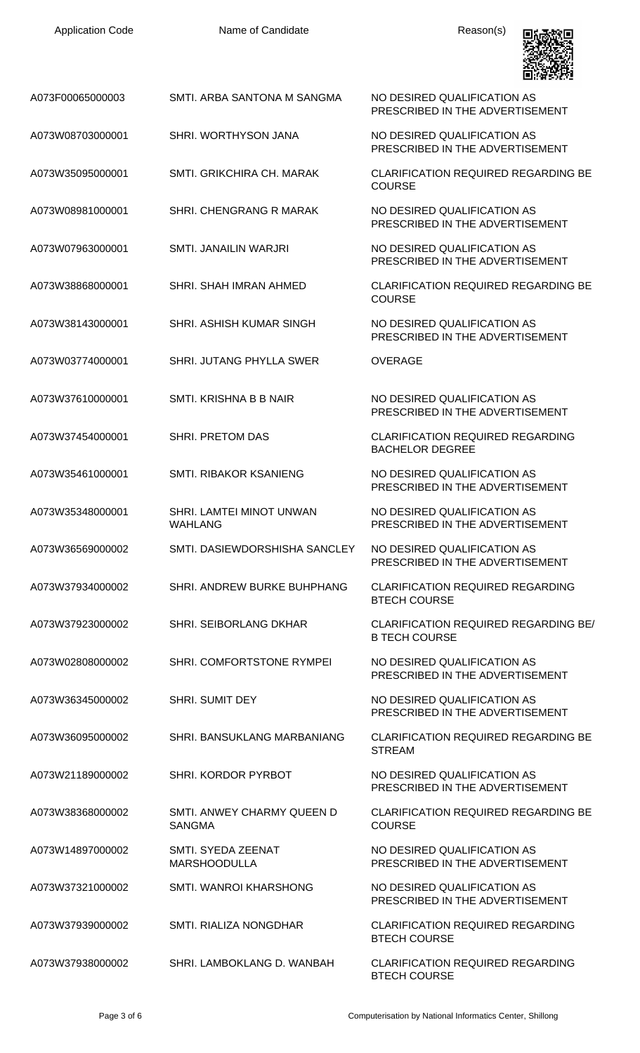| <b>Application Code</b> | Name of Candidate                           | Reason(s)                                                           |
|-------------------------|---------------------------------------------|---------------------------------------------------------------------|
| A073F00065000003        | SMTI. ARBA SANTONA M SANGMA                 | NO DESIRED QUALIFICATION AS<br>PRESCRIBED IN THE ADVERTISEMENT      |
| A073W08703000001        | SHRI. WORTHYSON JANA                        | NO DESIRED QUALIFICATION AS<br>PRESCRIBED IN THE ADVERTISEMENT      |
| A073W35095000001        | SMTI. GRIKCHIRA CH. MARAK                   | <b>CLARIFICATION REQUIRED REGARDING BE</b><br><b>COURSE</b>         |
| A073W08981000001        | SHRI. CHENGRANG R MARAK                     | NO DESIRED QUALIFICATION AS<br>PRESCRIBED IN THE ADVERTISEMENT      |
| A073W07963000001        | SMTI. JANAILIN WARJRI                       | NO DESIRED QUALIFICATION AS<br>PRESCRIBED IN THE ADVERTISEMENT      |
| A073W38868000001        | SHRI. SHAH IMRAN AHMED                      | <b>CLARIFICATION REQUIRED REGARDING BE</b><br><b>COURSE</b>         |
| A073W38143000001        | SHRI. ASHISH KUMAR SINGH                    | NO DESIRED QUALIFICATION AS<br>PRESCRIBED IN THE ADVERTISEMENT      |
| A073W03774000001        | SHRI. JUTANG PHYLLA SWER                    | <b>OVERAGE</b>                                                      |
| A073W37610000001        | SMTI. KRISHNA B B NAIR                      | NO DESIRED QUALIFICATION AS<br>PRESCRIBED IN THE ADVERTISEMENT      |
| A073W37454000001        | <b>SHRI. PRETOM DAS</b>                     | <b>CLARIFICATION REQUIRED REGARDING</b><br><b>BACHELOR DEGREE</b>   |
| A073W35461000001        | SMTI. RIBAKOR KSANIENG                      | NO DESIRED QUALIFICATION AS<br>PRESCRIBED IN THE ADVERTISEMENT      |
| A073W35348000001        | SHRI. LAMTEI MINOT UNWAN<br><b>WAHLANG</b>  | NO DESIRED QUALIFICATION AS<br>PRESCRIBED IN THE ADVERTISEMENT      |
| A073W36569000002        | SMTI. DASIEWDORSHISHA SANCLEY               | NO DESIRED QUALIFICATION AS<br>PRESCRIBED IN THE ADVERTISEMENT      |
| A073W37934000002        | SHRI. ANDREW BURKE BUHPHANG                 | <b>CLARIFICATION REQUIRED REGARDING</b><br><b>BTECH COURSE</b>      |
| A073W37923000002        | <b>SHRI. SEIBORLANG DKHAR</b>               | <b>CLARIFICATION REQUIRED REGARDING BE/</b><br><b>B TECH COURSE</b> |
| A073W02808000002        | SHRI. COMFORTSTONE RYMPEI                   | NO DESIRED QUALIFICATION AS<br>PRESCRIBED IN THE ADVERTISEMENT      |
| A073W36345000002        | <b>SHRI. SUMIT DEY</b>                      | NO DESIRED QUALIFICATION AS<br>PRESCRIBED IN THE ADVERTISEMENT      |
| A073W36095000002        | SHRI. BANSUKLANG MARBANIANG                 | <b>CLARIFICATION REQUIRED REGARDING BE</b><br><b>STREAM</b>         |
| A073W21189000002        | SHRI. KORDOR PYRBOT                         | NO DESIRED QUALIFICATION AS<br>PRESCRIBED IN THE ADVERTISEMENT      |
| A073W38368000002        | SMTI. ANWEY CHARMY QUEEN D<br><b>SANGMA</b> | <b>CLARIFICATION REQUIRED REGARDING BE</b><br><b>COURSE</b>         |
| A073W14897000002        | SMTI. SYEDA ZEENAT<br><b>MARSHOODULLA</b>   | NO DESIRED QUALIFICATION AS<br>PRESCRIBED IN THE ADVERTISEMENT      |
| A073W37321000002        | <b>SMTI. WANROI KHARSHONG</b>               | NO DESIRED QUALIFICATION AS<br>PRESCRIBED IN THE ADVERTISEMENT      |
| A073W37939000002        | SMTI. RIALIZA NONGDHAR                      | <b>CLARIFICATION REQUIRED REGARDING</b><br><b>BTECH COURSE</b>      |
| A073W37938000002        | SHRI. LAMBOKLANG D. WANBAH                  | <b>CLARIFICATION REQUIRED REGARDING</b>                             |

BTECH COURSE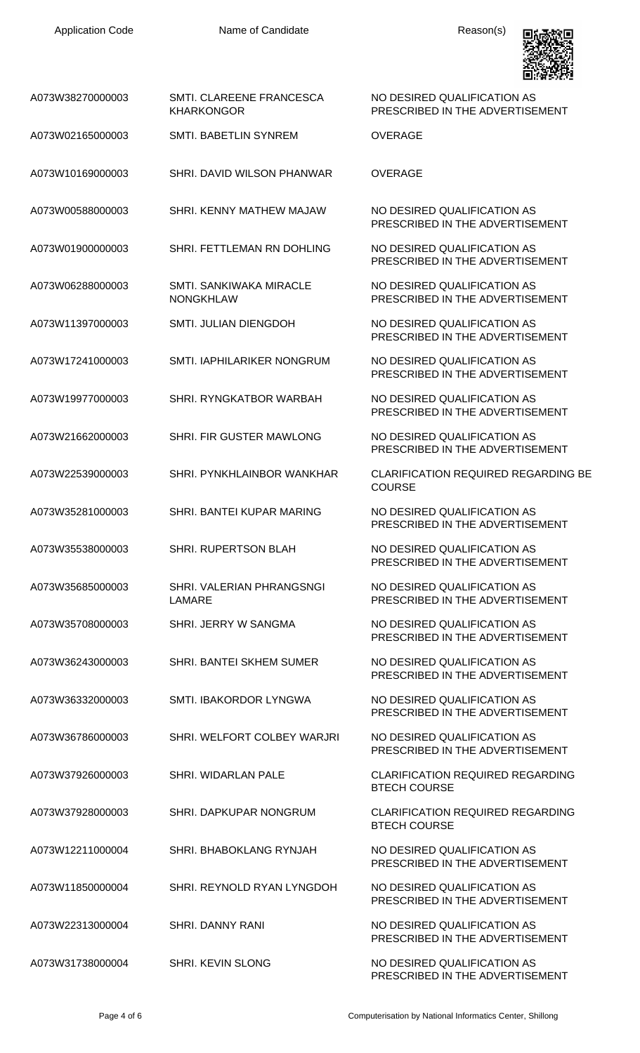Application Code **Name of Candidate Name of Candidate Reason(s)** 



| A073W38270000003 | SMTI. CLAREENE FRANCESCA<br><b>KHARKONGOR</b> | NO DESIRED QUALIFICATION AS<br>PRESCRIBED IN THE ADVERTISEMENT |
|------------------|-----------------------------------------------|----------------------------------------------------------------|
| A073W02165000003 | <b>SMTI. BABETLIN SYNREM</b>                  | <b>OVERAGE</b>                                                 |
| A073W10169000003 | SHRI. DAVID WILSON PHANWAR                    | <b>OVERAGE</b>                                                 |
| A073W00588000003 | SHRI. KENNY MATHEW MAJAW                      | NO DESIRED QUALIFICATION AS<br>PRESCRIBED IN THE ADVERTISEMENT |
| A073W01900000003 | SHRI. FETTLEMAN RN DOHLING                    | NO DESIRED QUALIFICATION AS<br>PRESCRIBED IN THE ADVERTISEMENT |
| A073W06288000003 | SMTI. SANKIWAKA MIRACLE<br><b>NONGKHLAW</b>   | NO DESIRED QUALIFICATION AS<br>PRESCRIBED IN THE ADVERTISEMENT |
| A073W11397000003 | SMTI. JULIAN DIENGDOH                         | NO DESIRED QUALIFICATION AS<br>PRESCRIBED IN THE ADVERTISEMENT |
| A073W17241000003 | SMTI. IAPHILARIKER NONGRUM                    | NO DESIRED QUALIFICATION AS<br>PRESCRIBED IN THE ADVERTISEMENT |
| A073W19977000003 | SHRI. RYNGKATBOR WARBAH                       | NO DESIRED QUALIFICATION AS<br>PRESCRIBED IN THE ADVERTISEMENT |
| A073W21662000003 | SHRI. FIR GUSTER MAWLONG                      | NO DESIRED QUALIFICATION AS<br>PRESCRIBED IN THE ADVERTISEMENT |
| A073W22539000003 | SHRI. PYNKHLAINBOR WANKHAR                    | <b>CLARIFICATION REQUIRED REGARDING BE</b><br><b>COURSE</b>    |
| A073W35281000003 | SHRI. BANTEI KUPAR MARING                     | NO DESIRED QUALIFICATION AS<br>PRESCRIBED IN THE ADVERTISEMENT |
| A073W35538000003 | SHRI. RUPERTSON BLAH                          | NO DESIRED QUALIFICATION AS<br>PRESCRIBED IN THE ADVERTISEMENT |
| A073W35685000003 | SHRI. VALERIAN PHRANGSNGI<br>LAMARE           | NO DESIRED QUALIFICATION AS<br>PRESCRIBED IN THE ADVERTISEMENT |
| A073W35708000003 | SHRI. JERRY W SANGMA                          | NO DESIRED QUALIFICATION AS<br>PRESCRIBED IN THE ADVERTISEMENT |
| A073W36243000003 | SHRI. BANTEI SKHEM SUMER                      | NO DESIRED QUALIFICATION AS<br>PRESCRIBED IN THE ADVERTISEMENT |
| A073W36332000003 | SMTI. IBAKORDOR LYNGWA                        | NO DESIRED QUALIFICATION AS<br>PRESCRIBED IN THE ADVERTISEMENT |
| A073W36786000003 | SHRI. WELFORT COLBEY WARJRI                   | NO DESIRED QUALIFICATION AS<br>PRESCRIBED IN THE ADVERTISEMENT |
| A073W37926000003 | <b>SHRI. WIDARLAN PALE</b>                    | <b>CLARIFICATION REQUIRED REGARDING</b><br><b>BTECH COURSE</b> |
| A073W37928000003 | SHRI. DAPKUPAR NONGRUM                        | <b>CLARIFICATION REQUIRED REGARDING</b><br><b>BTECH COURSE</b> |
| A073W12211000004 | SHRI. BHABOKLANG RYNJAH                       | NO DESIRED QUALIFICATION AS<br>PRESCRIBED IN THE ADVERTISEMENT |
| A073W11850000004 | SHRI. REYNOLD RYAN LYNGDOH                    | NO DESIRED QUALIFICATION AS<br>PRESCRIBED IN THE ADVERTISEMENT |
| A073W22313000004 | SHRI, DANNY RANI                              | NO DESIRED QUALIFICATION AS<br>PRESCRIBED IN THE ADVERTISEMENT |
| A073W31738000004 | SHRI. KEVIN SLONG                             | NO DESIRED QUALIFICATION AS<br>PRESCRIBED IN THE ADVERTISEMENT |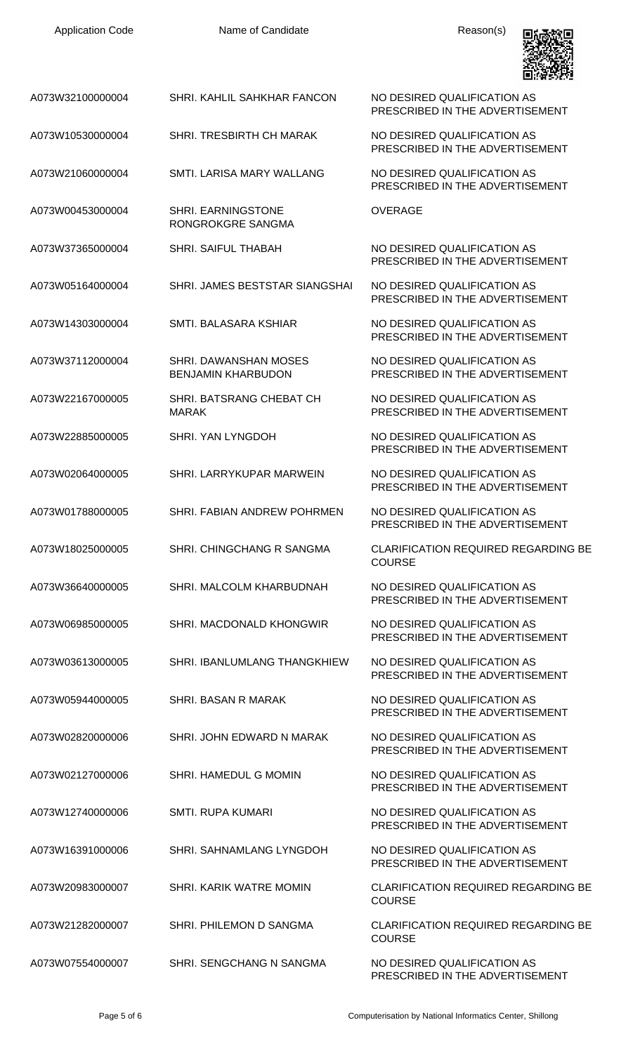| <b>Application Code</b> | Name of Candidate                                  | Reason(s)                                                      |
|-------------------------|----------------------------------------------------|----------------------------------------------------------------|
| A073W32100000004        | SHRI. KAHLIL SAHKHAR FANCON                        | NO DESIRED QUALIFICATION AS<br>PRESCRIBED IN THE ADVERTISEMENT |
| A073W10530000004        | <b>SHRI. TRESBIRTH CH MARAK</b>                    | NO DESIRED QUALIFICATION AS<br>PRESCRIBED IN THE ADVERTISEMENT |
| A073W21060000004        | SMTI. LARISA MARY WALLANG                          | NO DESIRED QUALIFICATION AS<br>PRESCRIBED IN THE ADVERTISEMENT |
| A073W00453000004        | <b>SHRI. EARNINGSTONE</b><br>RONGROKGRE SANGMA     | <b>OVERAGE</b>                                                 |
| A073W37365000004        | <b>SHRI. SAIFUL THABAH</b>                         | NO DESIRED QUALIFICATION AS<br>PRESCRIBED IN THE ADVERTISEMENT |
| A073W05164000004        | SHRI. JAMES BESTSTAR SIANGSHAI                     | NO DESIRED QUALIFICATION AS<br>PRESCRIBED IN THE ADVERTISEMENT |
| A073W14303000004        | SMTI. BALASARA KSHIAR                              | NO DESIRED QUALIFICATION AS<br>PRESCRIBED IN THE ADVERTISEMENT |
| A073W37112000004        | SHRI. DAWANSHAN MOSES<br><b>BENJAMIN KHARBUDON</b> | NO DESIRED QUALIFICATION AS<br>PRESCRIBED IN THE ADVERTISEMENT |
| A073W22167000005        | SHRI. BATSRANG CHEBAT CH<br><b>MARAK</b>           | NO DESIRED QUALIFICATION AS<br>PRESCRIBED IN THE ADVERTISEMENT |
| A073W22885000005        | SHRI. YAN LYNGDOH                                  | NO DESIRED QUALIFICATION AS<br>PRESCRIBED IN THE ADVERTISEMENT |
| A073W02064000005        | SHRI. LARRYKUPAR MARWEIN                           | NO DESIRED QUALIFICATION AS<br>PRESCRIBED IN THE ADVERTISEMENT |
| A073W01788000005        | SHRI. FABIAN ANDREW POHRMEN                        | NO DESIRED QUALIFICATION AS<br>PRESCRIBED IN THE ADVERTISEMENT |
| A073W18025000005        | SHRI. CHINGCHANG R SANGMA                          | <b>CLARIFICATION REQUIRED REGARDING BE</b><br><b>COURSE</b>    |
| A073W36640000005        | SHRI. MALCOLM KHARBUDNAH                           | NO DESIRED QUALIFICATION AS<br>PRESCRIBED IN THE ADVERTISEMENT |
| A073W06985000005        | SHRI, MACDONALD KHONGWIR                           | NO DESIRED QUALIFICATION AS<br>PRESCRIBED IN THE ADVERTISEMENT |
| A073W03613000005        | SHRI. IBANLUMLANG THANGKHIEW                       | NO DESIRED QUALIFICATION AS<br>PRESCRIBED IN THE ADVERTISEMENT |
| A073W05944000005        | SHRI. BASAN R MARAK                                | NO DESIRED QUALIFICATION AS<br>PRESCRIBED IN THE ADVERTISEMENT |
| A073W02820000006        | SHRI. JOHN EDWARD N MARAK                          | NO DESIRED QUALIFICATION AS<br>PRESCRIBED IN THE ADVERTISEMENT |
| A073W02127000006        | SHRI. HAMEDUL G MOMIN                              | NO DESIRED QUALIFICATION AS<br>PRESCRIBED IN THE ADVERTISEMENT |
| A073W12740000006        | <b>SMTI. RUPA KUMARI</b>                           | NO DESIRED QUALIFICATION AS<br>PRESCRIBED IN THE ADVERTISEMENT |
| A073W16391000006        | SHRI. SAHNAMLANG LYNGDOH                           | NO DESIRED QUALIFICATION AS<br>PRESCRIBED IN THE ADVERTISEMENT |
| A073W20983000007        | SHRI, KARIK WATRE MOMIN                            | <b>CLARIFICATION REQUIRED REGARDING BE</b><br><b>COURSE</b>    |
| A073W21282000007        | SHRI. PHILEMON D SANGMA                            | <b>CLARIFICATION REQUIRED REGARDING BE</b><br><b>COURSE</b>    |
| A073W07554000007        | SHRI. SENGCHANG N SANGMA                           | NO DESIRED QUALIFICATION AS<br>PRESCRIBED IN THE ADVERTISEMENT |